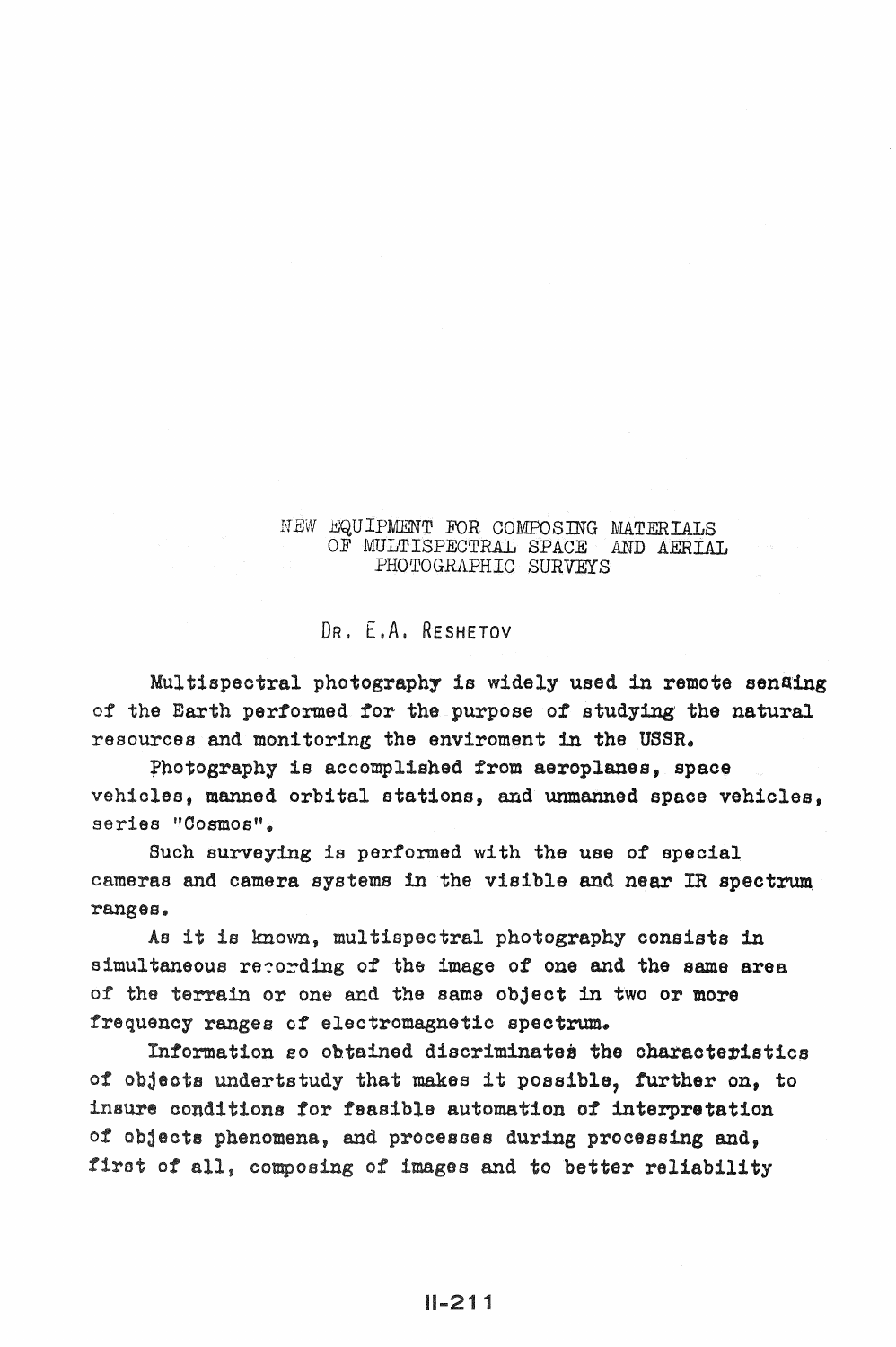## NEW EQUIPMENT FOR COMPOSING MATERIALS OF MULTISPECTRAL SPACE AND AERIAL PHOTOGRAPHIC SURVEYS

## DR, E.A. RESHETOV

Multispectral photography is widely used in remote sensing of the Earth performed for the purpose of studying' the natural resources and monitoring the enviroment in the USSR.

fhotography is accomplished from aeroplanes, space vehicles, manned orbital stations, and unmanned space vehicles, series "Cosmos".

Such surveying is performed with the use of special cameras and camera systems in the visible and near IR spectrum ranges.

As it is known, multispectral photography consists in simultaneous recording of the image of one and the same area of the terrain or one and the same object in two or more frequency ranges of electromagnetic spectrum.

Information go obtained discriminates the characteristics of objects undertstudy that makes it possible, further on, to insure conditions for feasible automation of interpretation of objects phenomena, and processes during processing and, first of all, composing of images and to better reliability

U-211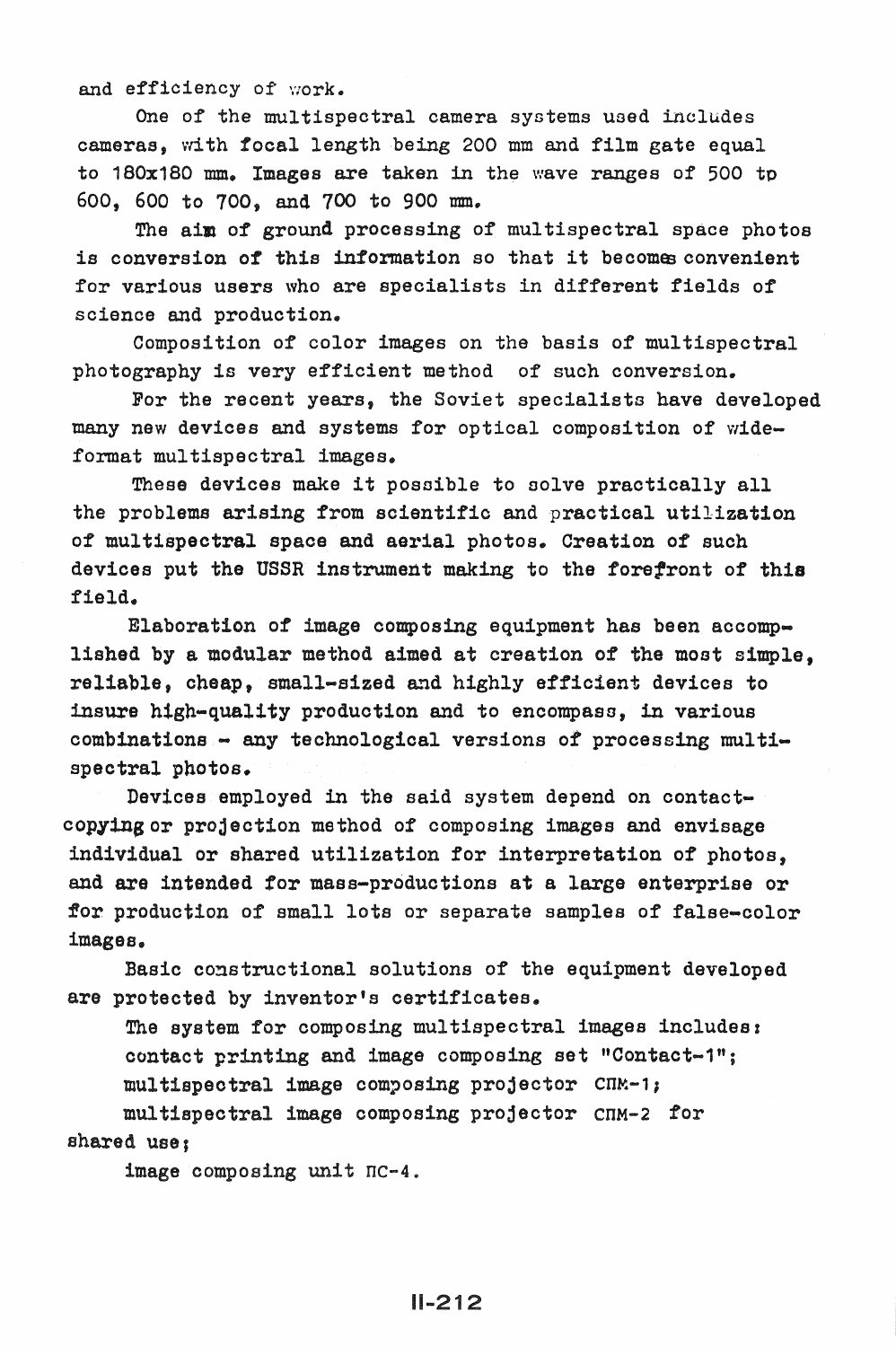and efficiency of work.

One of the multispectral camera systems used includes cameras, with focal length being 200 mm and film gate equal to 180x180 mm. Images are taken in the wave ranges of 500 tp 600, 600 to 700, and 700 to 900 mm.

The aim of ground processing of multispectral space photos is conversion of this information so that it becomes convenient for various users who are specialists in different fields of science and production.

Composition of color images on the basis of multispectral photography is very efficient method of such conversion.

For the recent years, the Soviet specialists have developed many new devices and systems for optical composition of wideformat multispectral images.

These devices make it possible to solve practically all the problema arising from scientific and practical utilization of multispectral space and aerial photos. Creation of such devices put the USSR instrument making to the forefront of this field.

Elaboration of image composing equipment has been accomplished by a modular method aimed at creation of the most simple, reliable, cheap, small-sized and highly efficient devices to insure high-quality production and to encompaso, in various  $combinations - any technical versions of processing multi$ spectral photos.

Devices employed in the said system depend on contactcopying or projection method of composing images and envisage individual or shared utilization for interpretation of photos, and are intended for mass-productions at a large enterprise or for production of small lots or separate samples of false-color images.

Basic constructional solutions of the equipment developed are protected by inventor's certificates.

The system for composing multispectral images includes: contact printing and image composing set "Contact-1";  $null$ tispectral image composing projector  $CIN-1$ ; multispectral image composing projector cnM-2 for shared use;

image composing unit nc-4.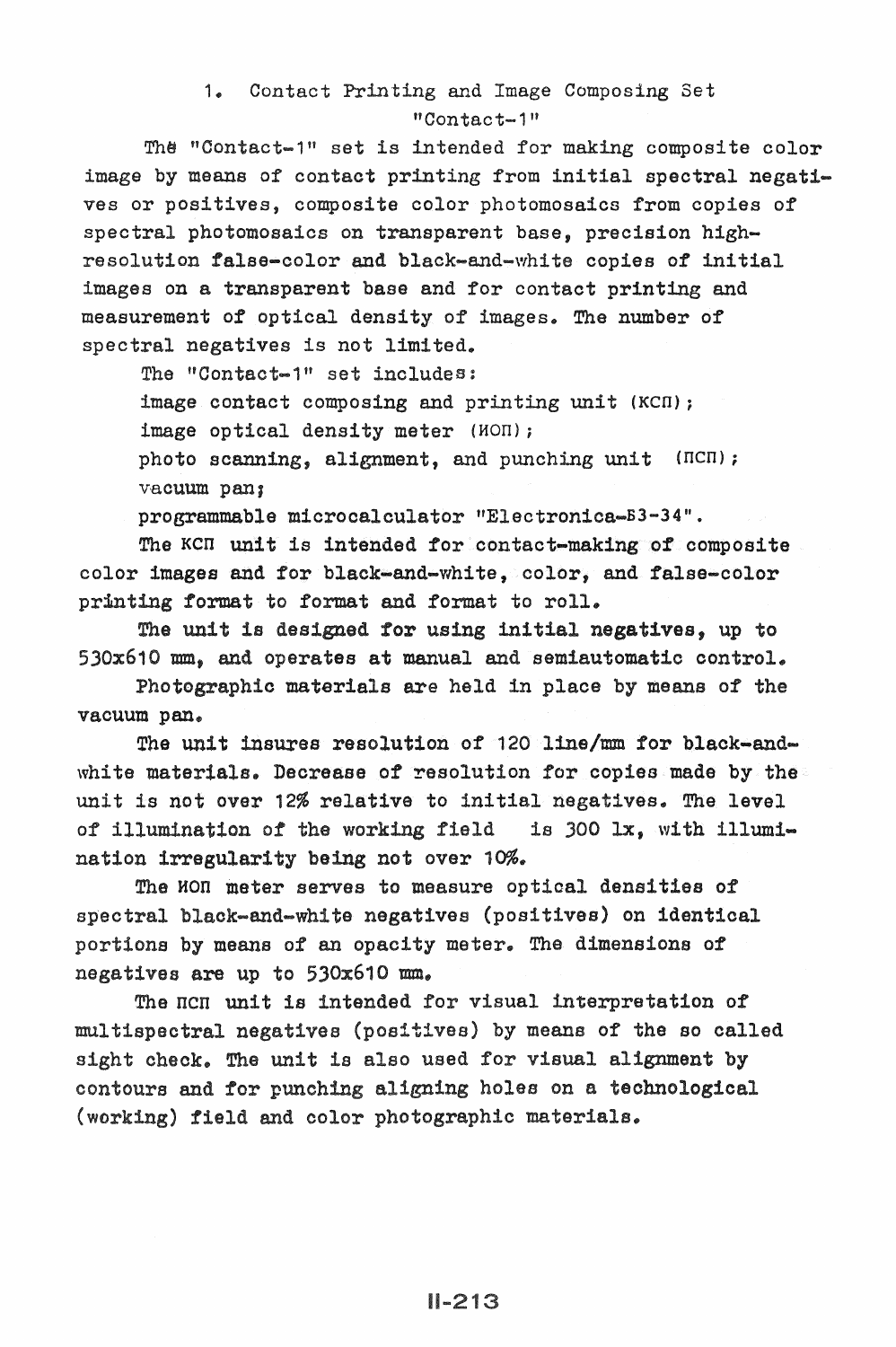## 1. Contact Printing and Image Composing Set "Contact-1"

The "Contact-1" set is intended for making composite color image by means of contact printing from initial spectral negatives or positives, composite color photomosaics from copies of spectral photomosaics on transparent base, precision highresolution false-color and black-and-white copies of initial images on a transparent base and for contact printing and measurement of optical density of images. The number of spectral negatives is not limited.

The "Contact-1" set includes:

image contact composing and printing unit (KCn); image optical density meter (HOn);

photo scanning, alignment, and punching unit (HCH); vacuum pan;

programmable microcalculator "Electronica-BJ-34".

The KCH unit is intended for contact-making of composite color images and for black-and-white, color, and false-color printing format to format and format to roll.

The unit designed for using initial negatives, up to 530x610 mm, and operates at manual and semiautomatic control.

Photographic materials are held in place by means of the vacuum pan.

The unit insures resolution of 120 line/mm for black-andwhite materials. Decrease of resolution for copies made by the unit is not over 12% relative to initial negatives. The level of illumination of the working field is 300 lx, with illumination irregularity being not over 10%.

The HON meter serves to measure optical densities of spectral black-and-white negatives (positives) on identical portions by means of an opacity meter. The dimensions of negatives are up to 530x610 mm.

The ncn unit is intended for visual interpretation of multispectral negatives (positives) by means of the so called sight check. The unit is also used for visual alignment by contours and for punching aligning holes on a technological (working) field and color photographic materials.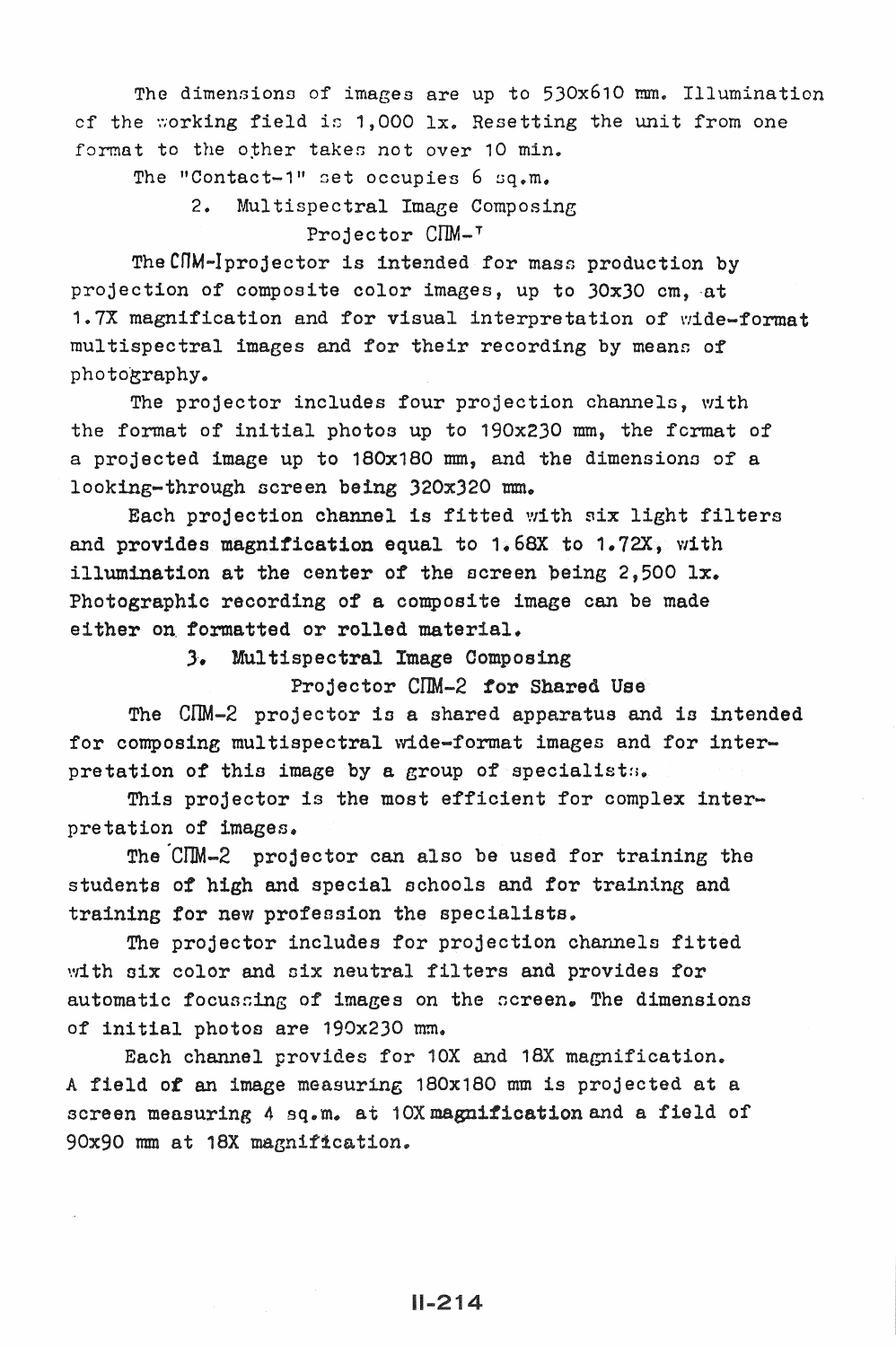The dimensions of images are up to 530x610 mm. Illumination cf the working field is  $1,000$  lx. Resetting the unit from one format to the other takes not over 10 min.

The "Contact-1" set occupies  $6$  sq.m.

2. Multispectral Image Composing Projector CIM-<sup>T</sup>

The CNM-Iprojector is intended for mass production by projection of composite color images, up to 30x30 cm. at 1. 7X magnification and for visual interpretation of \'!ide-format multispectral images and for their recording by means of photography.

The projector includes four projection channels, with the format of initial photos up to 190x230 mm, the fermat of a projected image up to 180x180 mm, and the dimensions of a looking-through screen being 320x320 mm.

Each projection channel is fitted with six light filters and provides magnitication equal to 1.68X to 1.72X, with illumination at the center of the screen being 2,500 lx. Photographic recording of a composite image can be made either on formatted or rolled material.

.3·. Multispectral Image Composing

Projector CIM-2 for Shared Use

The CIM-2 projector is a shared apparatus and is intended for composing multispectral wide-format images and for interpretation of this image by a group of specialists.

This projector is the most efficient for complex interpretation of images.

The CIM-2 projector can also be used for training the students of high and special schools and for training and training for new profession the specialists.

The projector includes for projection channels fitted with six color and six neutral filters and provides for automatic focussing of images on the screen. The dimensions of initial photos are 190x230 mm.

Each channel provides for 10X and 18X magnification. A field *ot* an image measuring 180x180 mm is projected at a screen measuring 4 sq.m. at 10X magnification and a field of 90x90 mm at 18X magnification.

 $II - 214$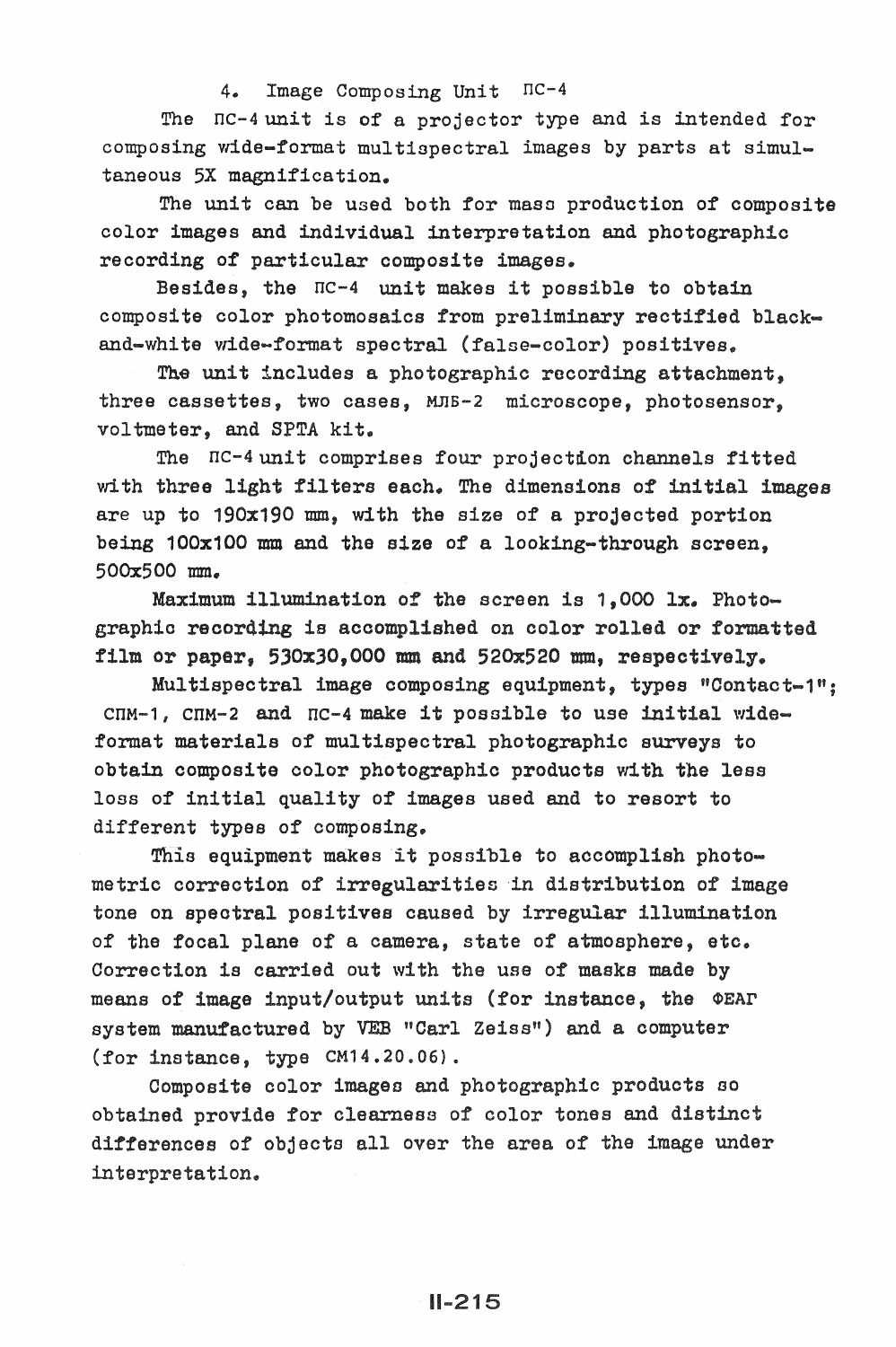## 4. Image Composing Unit nc-4

The  $nc-4$  unit is of a projector type and is intended for composing wide-format multispectral images by parts at simultaneous 5X magnification.

The unit can be used both for maso production of composite color images and individual interpretation and photographic recording of particular composite images.

Besides, the  $nc-4$  unit makes it possible to obtain composite color photomoaaics from preliminary rectified blackand-white wide-format spectral (false-color) positives.

The unit includes a photographic recording attachment, three cassettes, two cases, MnB-2 microscope, photosensor, voltmeter, and SPTA kit.

The  $nc-4$  unit comprises four projectdon channels fitted with three light filters each. The dimensions of initial images are up to 190x190 mm, with the size of a projected portion being 100x100 mm and the size of a looking-through screen, 500x500 mm.

Maximum illumination of the screen is 1,000 lx. Photographic recording is accomplished on color rolled or formatted film or paper, 530xJO,OOO mm and 520x520 mm, respectively.

Multispectral image composing equipment, types "Contact-1":  $CIM-1$ ,  $CIM-2$  and  $IC-4$  make it possible to use initial wideformat materials of multispectral photographic surveys to obtain composite color photographic products with the less loss of initial quality of images used and to resort to different types of composing.

This equipment makes it possible to accomplish photometric correction of irregularities in distribution of image tone on spectral positives caused by irregular illumination of the focal plane of a camera, state of atmosphere, etc. Correction is carried out with the use of masks made by means of image input/output units (for instance, the OEAP system manufactured by VEB "Carl Zeiss") and a computer (for instance, type CM14.20.06).

Composite color images and photographic products so obtained provide for clearness of color tones and distinct differences of objects all over the area of the image interpre